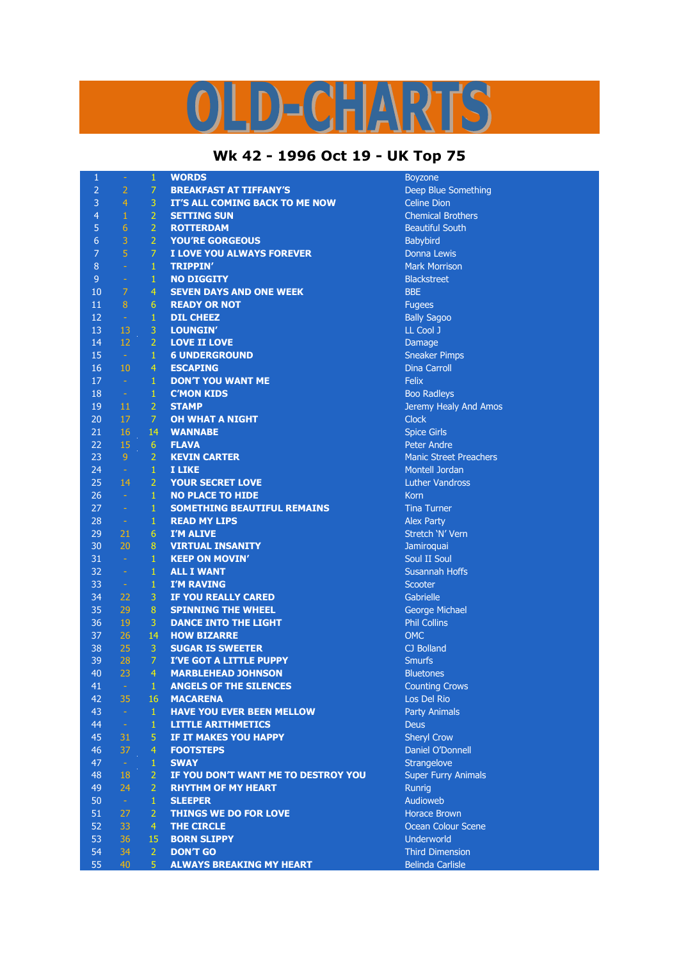## ID-CHARTS

## **Wk 42 - 1996 Oct 19 - UK Top 75**

| 1               | $\equiv$                          | $\mathbf{1}$   | <b>WORDS</b>                        | <b>Boyzone</b>                |
|-----------------|-----------------------------------|----------------|-------------------------------------|-------------------------------|
| $\overline{2}$  | $\overline{2}$                    | 7              | <b>BREAKFAST AT TIFFANY'S</b>       | Deep Blue Something           |
| 3               | $\overline{4}$                    | 3              | IT'S ALL COMING BACK TO ME NOW      | <b>Celine Dion</b>            |
| $\overline{4}$  | 1                                 | $\overline{2}$ | <b>SETTING SUN</b>                  | <b>Chemical Brothers</b>      |
| 5               | $\sqrt{6}$                        | $\overline{2}$ | <b>ROTTERDAM</b>                    | <b>Beautiful South</b>        |
| $6\phantom{1}6$ | 3                                 | $\overline{2}$ | <b>YOU'RE GORGEOUS</b>              | Babybird                      |
| $\overline{7}$  | 5                                 | $\overline{7}$ | I LOVE YOU ALWAYS FOREVER           | Donna Lewis                   |
| 8               | $\sim$                            | $\mathbf{1}$   | <b>TRIPPIN'</b>                     | <b>Mark Morrison</b>          |
| 9               | $\equiv$                          | $\mathbf{1}$   | <b>NO DIGGITY</b>                   | <b>Blackstreet</b>            |
| 10              | $\overline{7}$                    | $\overline{4}$ | <b>SEVEN DAYS AND ONE WEEK</b>      | <b>BBE</b>                    |
| 11              | 8                                 | 6              | <b>READY OR NOT</b>                 | <b>Fugees</b>                 |
| 12              | $\sim$                            | $\mathbf{1}$   | <b>DIL CHEEZ</b>                    | <b>Bally Sagoo</b>            |
| 13              | 13                                | $\mathbf{3}$   | LOUNGIN'                            | LL Cool J                     |
| 14              | 12                                | $\overline{2}$ | <b>LOVE II LOVE</b>                 | Damage                        |
| 15              | $\sim 10$                         | $\mathbf{1}$   | <b>6 UNDERGROUND</b>                | <b>Sneaker Pimps</b>          |
| 16              | 10                                | $\overline{4}$ | <b>ESCAPING</b>                     | <b>Dina Carroll</b>           |
| 17              | $\sim$                            | $\mathbf{1}$   | <b>DON'T YOU WANT ME</b>            | Felix                         |
| 18              | $\sim$ $\sim$                     | $\mathbf{1}$   | <b>C'MON KIDS</b>                   | <b>Boo Radleys</b>            |
| 19              | 11                                | $\overline{2}$ | <b>STAMP</b>                        | Jeremy Healy And Amos         |
| 20              | 17                                | $\mathcal{I}$  | <b>OH WHAT A NIGHT</b>              | <b>Clock</b>                  |
| 21              | 16                                | 14             | <b>WANNABE</b>                      | <b>Spice Girls</b>            |
| 22              | 15                                | 6 <sup>1</sup> | <b>FLAVA</b>                        | Peter Andre                   |
| 23              | 9                                 | $\overline{2}$ | <b>KEVIN CARTER</b>                 | <b>Manic Street Preachers</b> |
| 24              | $\sim$ $\sim$                     | $\mathbf{1}$   | I LIKE                              | Montell Jordan                |
| 25              | 14                                | $\overline{2}$ | <b>YOUR SECRET LOVE</b>             | <b>Luther Vandross</b>        |
| 26              | $\sim 10$                         | $\mathbf{1}$   | <b>NO PLACE TO HIDE</b>             | <b>Korn</b>                   |
| 27              | $\sim$                            | $\mathbf{1}$   | <b>SOMETHING BEAUTIFUL REMAINS</b>  | <b>Tina Turner</b>            |
| 28              | $\sim$                            | $\mathbf{1}$   | <b>READ MY LIPS</b>                 | <b>Alex Party</b>             |
| 29              | 21                                | 6              | I'M ALIVE                           | Stretch 'N' Vern              |
| 30              | 20                                | 8              | <b>VIRTUAL INSANITY</b>             | Jamiroquai                    |
| 31              | $\sim$                            | $\mathbf{1}$   | <b>KEEP ON MOVIN'</b>               | Soul II Soul                  |
| 32              | $\equiv$                          | $\mathbf{1}$   | <b>ALL I WANT</b>                   | <b>Susannah Hoffs</b>         |
| 33              | $\sim$ .                          | $\mathbf{1}$   | <b>I'M RAVING</b>                   | Scooter                       |
| 34              | 22                                | 3              | IF YOU REALLY CARED                 | Gabrielle                     |
| 35              | 29                                | $\, 8$         | <b>SPINNING THE WHEEL</b>           | George Michael                |
| 36              | 19                                | 3              | <b>DANCE INTO THE LIGHT</b>         | <b>Phil Collins</b>           |
| 37              | 26                                | 14             | <b>HOW BIZARRE</b>                  | <b>OMC</b>                    |
| 38              | 25                                | 3              | <b>SUGAR IS SWEETER</b>             | CJ Bolland                    |
| 39              | 28                                | $\overline{7}$ | <b>I'VE GOT A LITTLE PUPPY</b>      | <b>Smurfs</b>                 |
| 40              | 23                                | 4              | <b>MARBLEHEAD JOHNSON</b>           | <b>Bluetones</b>              |
| 41              | <b>Contract Contract Contract</b> | $1 -$          | <b>ANGELS OF THE SILENCES</b>       | <b>Counting Crows</b>         |
| 42              | 35                                | 16             | <b>MACARENA</b>                     | Los Del Rio                   |
| 43              | $\sim$                            | $\mathbf{1}$   | <b>HAVE YOU EVER BEEN MELLOW</b>    | <b>Party Animals</b>          |
| 44              | $\sim$                            | $\mathbf{1}$   | <b>LITTLE ARITHMETICS</b>           | <b>Deus</b>                   |
| 45              | 31                                | 5 <sup>1</sup> | IF IT MAKES YOU HAPPY               | <b>Sheryl Crow</b>            |
| 46              | 37                                | $\overline{4}$ | <b>FOOTSTEPS</b>                    | Daniel O'Donnell              |
| 47              | $\sim$ $^{-1}$                    | $\mathbf{1}$   | <b>SWAY</b>                         | <b>Strangelove</b>            |
| 48              | 18                                | $\overline{2}$ | IF YOU DON'T WANT ME TO DESTROY YOU | <b>Super Furry Animals</b>    |
| 49              | 24                                | $\overline{2}$ | <b>RHYTHM OF MY HEART</b>           | Runrig                        |
| 50              | $\sim$                            | $\mathbf{1}$   | <b>SLEEPER</b>                      | Audioweb                      |
| 51              | 27                                | $\mathbf{2}$   | <b>THINGS WE DO FOR LOVE</b>        | <b>Horace Brown</b>           |
| 52              | 33                                | $\overline{4}$ | <b>THE CIRCLE</b>                   | Ocean Colour Scene            |
| 53              | 36                                | 15             | <b>BORN SLIPPY</b>                  | Underworld                    |
| 54              | 34                                | $\overline{2}$ | <b>DON'T GO</b>                     | <b>Third Dimension</b>        |
| 55              | 40                                | 5              | <b>ALWAYS BREAKING MY HEART</b>     | <b>Belinda Carlisle</b>       |